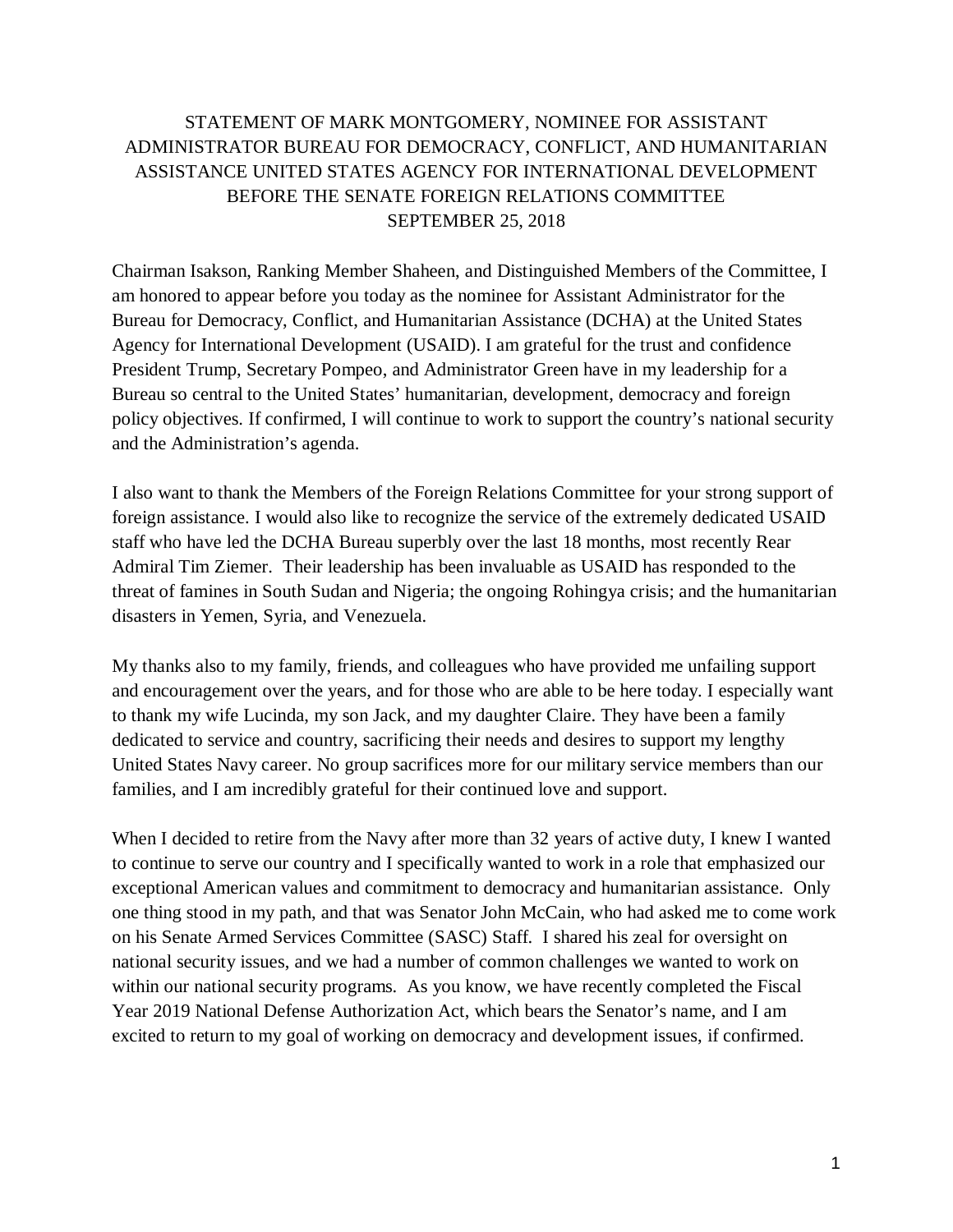## STATEMENT OF MARK MONTGOMERY, NOMINEE FOR ASSISTANT ADMINISTRATOR BUREAU FOR DEMOCRACY, CONFLICT, AND HUMANITARIAN ASSISTANCE UNITED STATES AGENCY FOR INTERNATIONAL DEVELOPMENT BEFORE THE SENATE FOREIGN RELATIONS COMMITTEE SEPTEMBER 25, 2018

Chairman Isakson, Ranking Member Shaheen, and Distinguished Members of the Committee, I am honored to appear before you today as the nominee for Assistant Administrator for the Bureau for Democracy, Conflict, and Humanitarian Assistance (DCHA) at the United States Agency for International Development (USAID). I am grateful for the trust and confidence President Trump, Secretary Pompeo, and Administrator Green have in my leadership for a Bureau so central to the United States' humanitarian, development, democracy and foreign policy objectives. If confirmed, I will continue to work to support the country's national security and the Administration's agenda.

I also want to thank the Members of the Foreign Relations Committee for your strong support of foreign assistance. I would also like to recognize the service of the extremely dedicated USAID staff who have led the DCHA Bureau superbly over the last 18 months, most recently Rear Admiral Tim Ziemer. Their leadership has been invaluable as USAID has responded to the threat of famines in South Sudan and Nigeria; the ongoing Rohingya crisis; and the humanitarian disasters in Yemen, Syria, and Venezuela.

My thanks also to my family, friends, and colleagues who have provided me unfailing support and encouragement over the years, and for those who are able to be here today. I especially want to thank my wife Lucinda, my son Jack, and my daughter Claire. They have been a family dedicated to service and country, sacrificing their needs and desires to support my lengthy United States Navy career. No group sacrifices more for our military service members than our families, and I am incredibly grateful for their continued love and support.

When I decided to retire from the Navy after more than 32 years of active duty, I knew I wanted to continue to serve our country and I specifically wanted to work in a role that emphasized our exceptional American values and commitment to democracy and humanitarian assistance. Only one thing stood in my path, and that was Senator John McCain, who had asked me to come work on his Senate Armed Services Committee (SASC) Staff. I shared his zeal for oversight on national security issues, and we had a number of common challenges we wanted to work on within our national security programs. As you know, we have recently completed the Fiscal Year 2019 National Defense Authorization Act, which bears the Senator's name, and I am excited to return to my goal of working on democracy and development issues, if confirmed.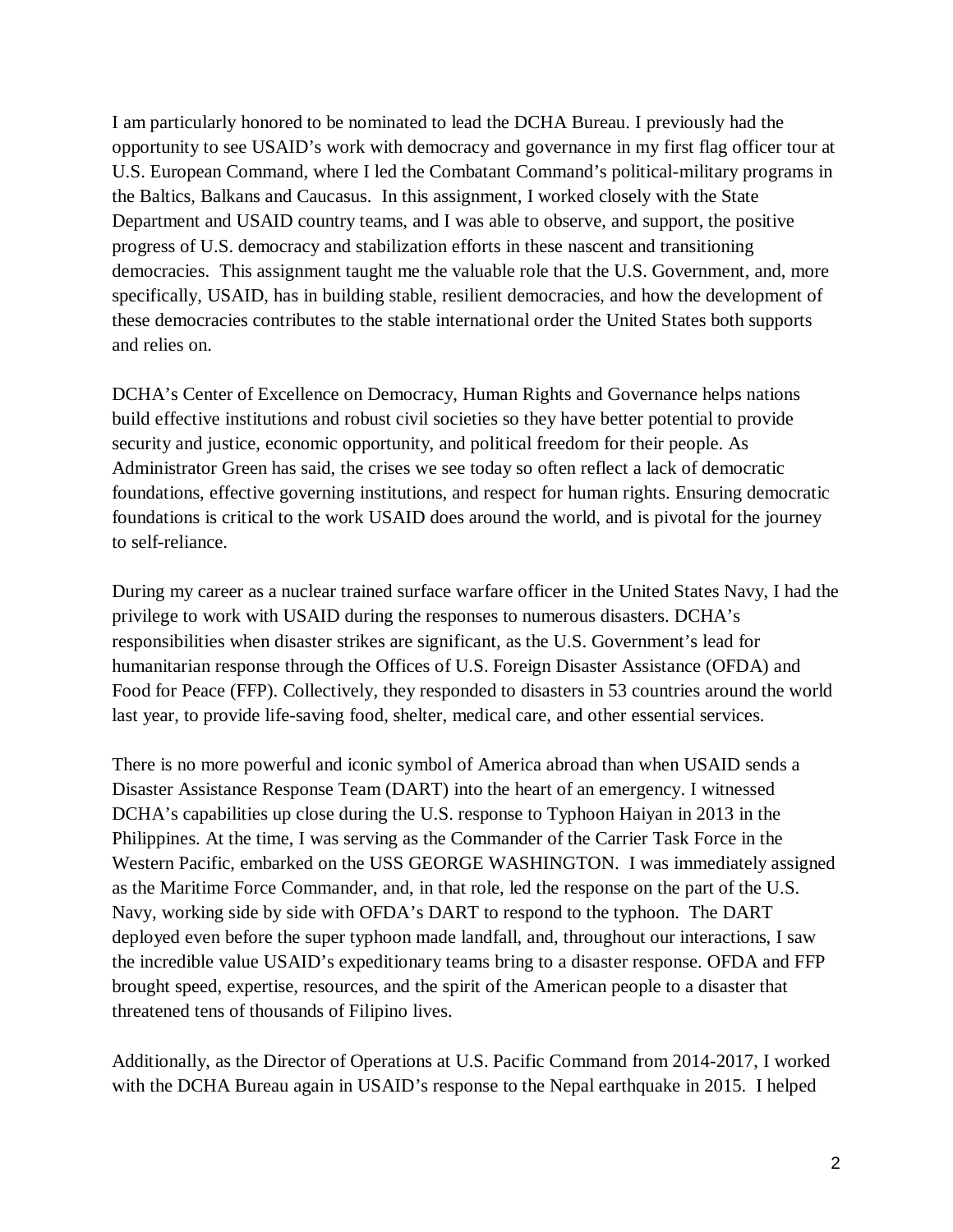I am particularly honored to be nominated to lead the DCHA Bureau. I previously had the opportunity to see USAID's work with democracy and governance in my first flag officer tour at U.S. European Command, where I led the Combatant Command's political-military programs in the Baltics, Balkans and Caucasus. In this assignment, I worked closely with the State Department and USAID country teams, and I was able to observe, and support, the positive progress of U.S. democracy and stabilization efforts in these nascent and transitioning democracies. This assignment taught me the valuable role that the U.S. Government, and, more specifically, USAID, has in building stable, resilient democracies, and how the development of these democracies contributes to the stable international order the United States both supports and relies on.

DCHA's Center of Excellence on Democracy, Human Rights and Governance helps nations build effective institutions and robust civil societies so they have better potential to provide security and justice, economic opportunity, and political freedom for their people. As Administrator Green has said, the crises we see today so often reflect a lack of democratic foundations, effective governing institutions, and respect for human rights. Ensuring democratic foundations is critical to the work USAID does around the world, and is pivotal for the journey to self-reliance.

During my career as a nuclear trained surface warfare officer in the United States Navy, I had the privilege to work with USAID during the responses to numerous disasters. DCHA's responsibilities when disaster strikes are significant, as the U.S. Government's lead for humanitarian response through the Offices of U.S. Foreign Disaster Assistance (OFDA) and Food for Peace (FFP). Collectively, they responded to disasters in 53 countries around the world last year, to provide life-saving food, shelter, medical care, and other essential services.

There is no more powerful and iconic symbol of America abroad than when USAID sends a Disaster Assistance Response Team (DART) into the heart of an emergency. I witnessed DCHA's capabilities up close during the U.S. response to Typhoon Haiyan in 2013 in the Philippines. At the time, I was serving as the Commander of the Carrier Task Force in the Western Pacific, embarked on the USS GEORGE WASHINGTON. I was immediately assigned as the Maritime Force Commander, and, in that role, led the response on the part of the U.S. Navy, working side by side with OFDA's DART to respond to the typhoon. The DART deployed even before the super typhoon made landfall, and, throughout our interactions, I saw the incredible value USAID's expeditionary teams bring to a disaster response. OFDA and FFP brought speed, expertise, resources, and the spirit of the American people to a disaster that threatened tens of thousands of Filipino lives.

Additionally, as the Director of Operations at U.S. Pacific Command from 2014-2017, I worked with the DCHA Bureau again in USAID's response to the Nepal earthquake in 2015. I helped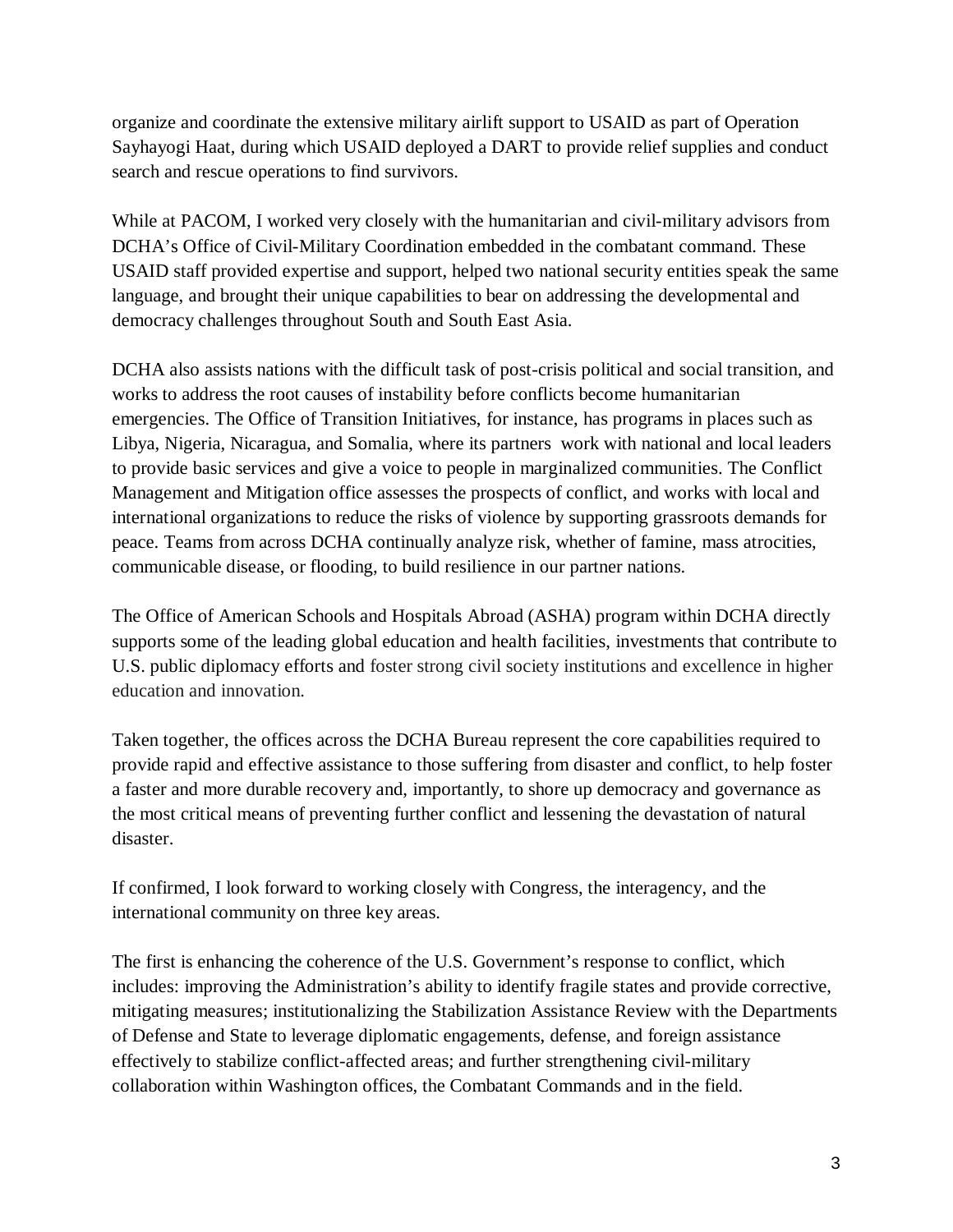organize and coordinate the extensive military airlift support to USAID as part of Operation Sayhayogi Haat, during which USAID deployed a DART to provide relief supplies and conduct search and rescue operations to find survivors.

While at PACOM, I worked very closely with the humanitarian and civil-military advisors from DCHA's Office of Civil-Military Coordination embedded in the combatant command. These USAID staff provided expertise and support, helped two national security entities speak the same language, and brought their unique capabilities to bear on addressing the developmental and democracy challenges throughout South and South East Asia.

DCHA also assists nations with the difficult task of post-crisis political and social transition, and works to address the root causes of instability before conflicts become humanitarian emergencies. The Office of Transition Initiatives, for instance, has programs in places such as Libya, Nigeria, Nicaragua, and Somalia, where its partners work with national and local leaders to provide basic services and give a voice to people in marginalized communities. The Conflict Management and Mitigation office assesses the prospects of conflict, and works with local and international organizations to reduce the risks of violence by supporting grassroots demands for peace. Teams from across DCHA continually analyze risk, whether of famine, mass atrocities, communicable disease, or flooding, to build resilience in our partner nations.

The Office of American Schools and Hospitals Abroad (ASHA) program within DCHA directly supports some of the leading global education and health facilities, investments that contribute to U.S. public diplomacy efforts and foster strong civil society institutions and excellence in higher education and innovation.

Taken together, the offices across the DCHA Bureau represent the core capabilities required to provide rapid and effective assistance to those suffering from disaster and conflict, to help foster a faster and more durable recovery and, importantly, to shore up democracy and governance as the most critical means of preventing further conflict and lessening the devastation of natural disaster.

If confirmed, I look forward to working closely with Congress, the interagency, and the international community on three key areas.

The first is enhancing the coherence of the U.S. Government's response to conflict, which includes: improving the Administration's ability to identify fragile states and provide corrective, mitigating measures; institutionalizing the Stabilization Assistance Review with the Departments of Defense and State to leverage diplomatic engagements, defense, and foreign assistance effectively to stabilize conflict-affected areas; and further strengthening civil-military collaboration within Washington offices, the Combatant Commands and in the field.